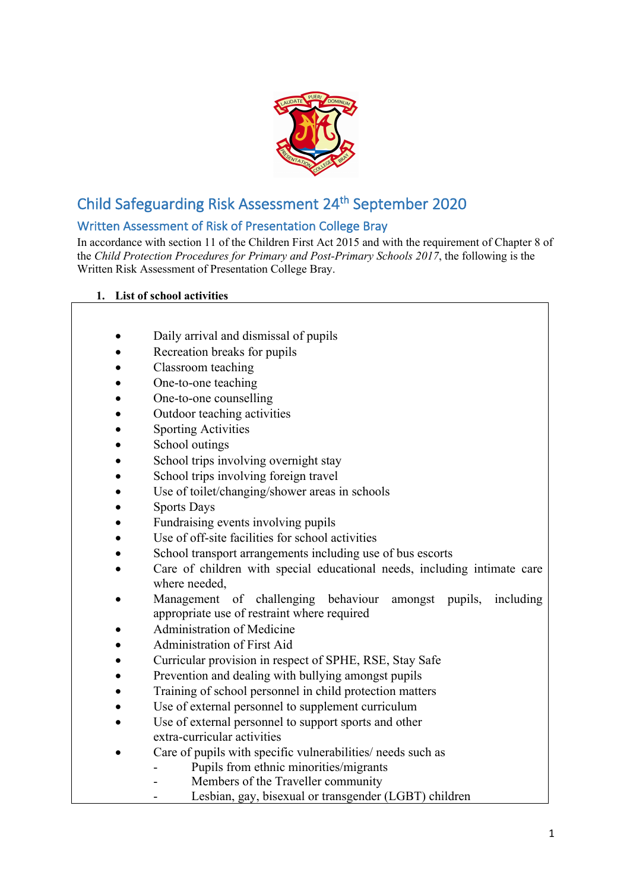

# Child Safeguarding Risk Assessment 24th September 2020

## Written Assessment of Risk of Presentation College Bray

In accordance with section 11 of the Children First Act 2015 and with the requirement of Chapter 8 of the *Child Protection Procedures for Primary and Post-Primary Schools 2017*, the following is the Written Risk Assessment of Presentation College Bray.

### **1. List of school activities**

- Daily arrival and dismissal of pupils
- Recreation breaks for pupils
- Classroom teaching
- One-to-one teaching
- One-to-one counselling
- Outdoor teaching activities
- **Sporting Activities**
- School outings
- School trips involving overnight stay
- School trips involving foreign travel
- Use of toilet/changing/shower areas in schools
- Sports Days
- Fundraising events involving pupils
- Use of off-site facilities for school activities
- School transport arrangements including use of bus escorts
- Care of children with special educational needs, including intimate care where needed,
- Management of challenging behaviour amongst pupils, including appropriate use of restraint where required
- Administration of Medicine
- Administration of First Aid
- Curricular provision in respect of SPHE, RSE, Stay Safe
- Prevention and dealing with bullying amongst pupils
- Training of school personnel in child protection matters
- Use of external personnel to supplement curriculum
- Use of external personnel to support sports and other extra-curricular activities
- Care of pupils with specific vulnerabilities/ needs such as
	- Pupils from ethnic minorities/migrants
	- Members of the Traveller community
		- Lesbian, gay, bisexual or transgender (LGBT) children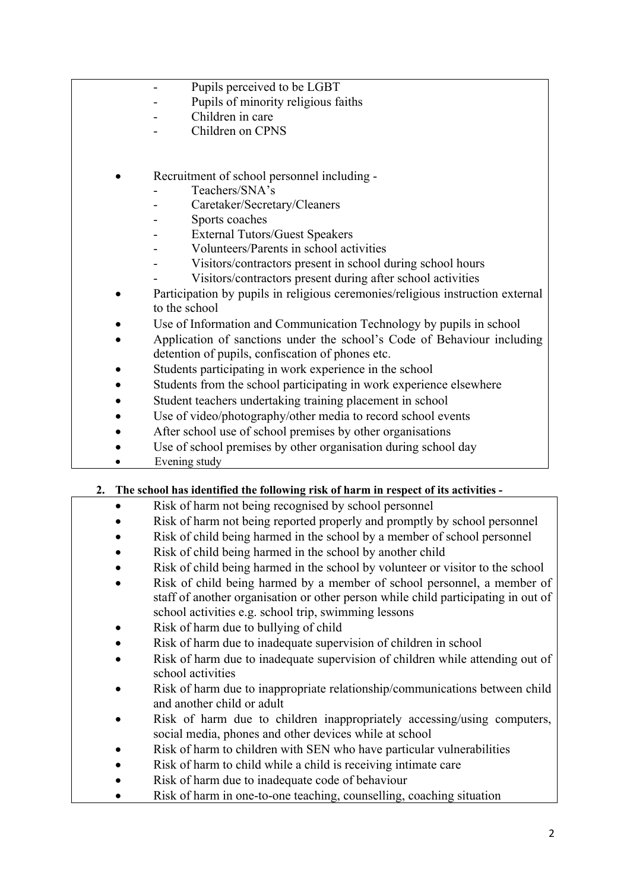- Pupils perceived to be LGBT
- Pupils of minority religious faiths
- Children in care
- Children on CPNS
- Recruitment of school personnel including
	- Teachers/SNA's
	- Caretaker/Secretary/Cleaners
	- Sports coaches
	- External Tutors/Guest Speakers
	- Volunteers/Parents in school activities
	- Visitors/contractors present in school during school hours
		- Visitors/contractors present during after school activities
- Participation by pupils in religious ceremonies/religious instruction external to the school
- Use of Information and Communication Technology by pupils in school
- Application of sanctions under the school's Code of Behaviour including detention of pupils, confiscation of phones etc.
- Students participating in work experience in the school
- Students from the school participating in work experience elsewhere
- Student teachers undertaking training placement in school
- Use of video/photography/other media to record school events
- After school use of school premises by other organisations
- Use of school premises by other organisation during school day
- Evening study

#### **2. The school has identified the following risk of harm in respect of its activities -**

- Risk of harm not being recognised by school personnel
- Risk of harm not being reported properly and promptly by school personnel
- Risk of child being harmed in the school by a member of school personnel
- Risk of child being harmed in the school by another child
- Risk of child being harmed in the school by volunteer or visitor to the school
- Risk of child being harmed by a member of school personnel, a member of staff of another organisation or other person while child participating in out of school activities e.g. school trip, swimming lessons
- Risk of harm due to bullying of child
- Risk of harm due to inadequate supervision of children in school
- Risk of harm due to inadequate supervision of children while attending out of school activities
- Risk of harm due to inappropriate relationship/communications between child and another child or adult
- Risk of harm due to children inappropriately accessing/using computers, social media, phones and other devices while at school
- Risk of harm to children with SEN who have particular vulnerabilities
- Risk of harm to child while a child is receiving intimate care
- Risk of harm due to inadequate code of behaviour
- Risk of harm in one-to-one teaching, counselling, coaching situation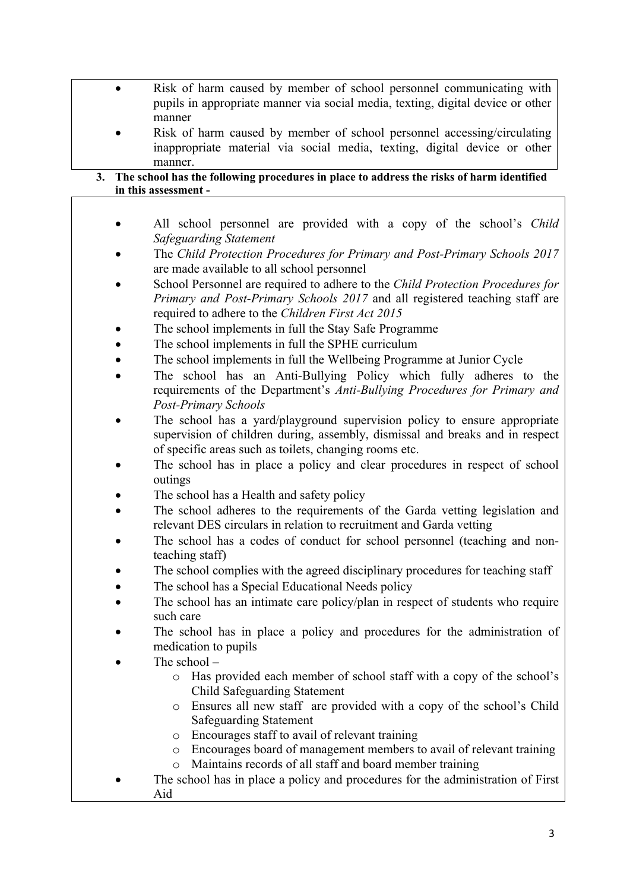- Risk of harm caused by member of school personnel communicating with pupils in appropriate manner via social media, texting, digital device or other manner
	- Risk of harm caused by member of school personnel accessing/circulating inappropriate material via social media, texting, digital device or other manner.

#### **3. The school has the following procedures in place to address the risks of harm identified in this assessment -**

- All school personnel are provided with a copy of the school's *Child Safeguarding Statement*
- The *Child Protection Procedures for Primary and Post-Primary Schools 2017* are made available to all school personnel
- School Personnel are required to adhere to the *Child Protection Procedures for Primary and Post-Primary Schools 2017* and all registered teaching staff are required to adhere to the *Children First Act 2015*
- The school implements in full the Stay Safe Programme
- The school implements in full the SPHE curriculum
- The school implements in full the Wellbeing Programme at Junior Cycle
- The school has an Anti-Bullying Policy which fully adheres to the requirements of the Department's *Anti-Bullying Procedures for Primary and Post-Primary Schools*
- The school has a yard/playground supervision policy to ensure appropriate supervision of children during, assembly, dismissal and breaks and in respect of specific areas such as toilets, changing rooms etc.
- The school has in place a policy and clear procedures in respect of school outings
- The school has a Health and safety policy
- The school adheres to the requirements of the Garda vetting legislation and relevant DES circulars in relation to recruitment and Garda vetting
- The school has a codes of conduct for school personnel (teaching and nonteaching staff)
- The school complies with the agreed disciplinary procedures for teaching staff
- The school has a Special Educational Needs policy
- The school has an intimate care policy/plan in respect of students who require such care
- The school has in place a policy and procedures for the administration of medication to pupils
- The school  $$ 
	- o Has provided each member of school staff with a copy of the school's Child Safeguarding Statement
	- o Ensures all new staff are provided with a copy of the school's Child Safeguarding Statement
	- o Encourages staff to avail of relevant training
	- o Encourages board of management members to avail of relevant training
	- o Maintains records of all staff and board member training
- The school has in place a policy and procedures for the administration of First Aid